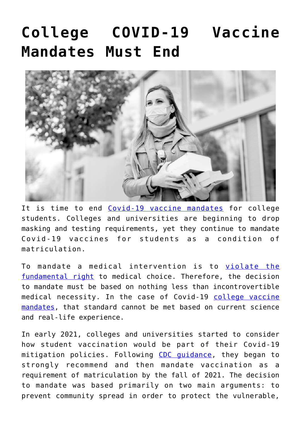## **[College COVID-19 Vaccine](https://thevaultproject.org/college-covid-19-vaccine-mandates-must-end/) [Mandates Must End](https://thevaultproject.org/college-covid-19-vaccine-mandates-must-end/)**



It is time to end [Covid-19 vaccine mandates](https://brownstone.org/articles/end-all-college-covid-19-vaccination-mandates/) for college students. Colleges and universities are beginning to drop masking and testing requirements, yet they continue to mandate Covid-19 vaccines for students as a condition of matriculation.

To mandate a medical intervention is to [violate the](https://thevaultproject.org/nuremberg-code/) [fundamental right](https://thevaultproject.org/nuremberg-code/) to medical choice. Therefore, the decision to mandate must be based on nothing less than incontrovertible medical necessity. In the case of Covid-19 [college vaccine](https://thevaultproject.org/how-colleges-handled-covid-and-mandates-which-schools-to-avoid/) [mandates](https://thevaultproject.org/how-colleges-handled-covid-and-mandates-which-schools-to-avoid/), that standard cannot be met based on current science and real-life experience.

In early 2021, colleges and universities started to consider how student vaccination would be part of their Covid-19 mitigation policies. Following CDC quidance, they began to strongly recommend and then mandate vaccination as a requirement of matriculation by the fall of 2021. The decision to mandate was based primarily on two main arguments: to prevent community spread in order to protect the vulnerable,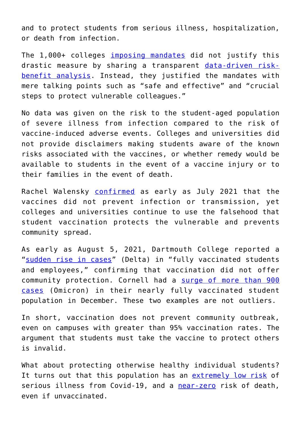and to protect students from serious illness, hospitalization, or death from infection.

The 1,000+ colleges [imposing mandates](https://thevaultproject.org/how-colleges-handled-covid-and-mandates-which-schools-to-avoid/) did not justify this drastic measure by sharing a transparent [data-driven risk](https://thevaultproject.org/whistleblower-lawsuit-accuses-pfizer-of-fraud-during-covid-vaccine-trials/)[benefit analysis.](https://thevaultproject.org/whistleblower-lawsuit-accuses-pfizer-of-fraud-during-covid-vaccine-trials/) Instead, they justified the mandates with mere talking points such as "safe and effective" and "crucial steps to protect vulnerable colleagues."

No data was given on the risk to the student-aged population of severe illness from infection compared to the risk of vaccine-induced adverse events. Colleges and universities did not provide disclaimers making students aware of the known risks associated with the vaccines, or whether remedy would be available to students in the event of a vaccine injury or to their families in the event of death.

Rachel Walensky [confirmed](https://nam10.safelinks.protection.outlook.com/?url=https%3A%2F%2Fwww.cdc.gov%2Fmedia%2Freleases%2F2021%2Fs0730-mmwr-covid-19.html&data=04%7C01%7Cdenise.magner%40chronicle.com%7C8acc5a89fdc0484fb53108da055eb2ba%7Cd6ac7fd16f2446a49996bfcc1b587137%7C0%7C0%7C637828201547517096%7CUnknown%7CTWFpbGZsb3d8eyJWIjoiMC4wLjAwMDAiLCJQIjoiV2luMzIiLCJBTiI6Ik1haWwiLCJXVCI6Mn0%3D%7C3000&sdata=zQyR%2Bt0yHnMKO6NVVwljk0uoIwPv1zbdaYOc52kb6hM%3D&reserved=0) as early as July 2021 that the vaccines did not prevent infection or transmission, yet colleges and universities continue to use the falsehood that student vaccination protects the vulnerable and prevents community spread.

As early as August 5, 2021, Dartmouth College reported a "[sudden rise in cases](https://nam10.safelinks.protection.outlook.com/?url=https%3A%2F%2Fcovid.dartmouth.edu%2Faugust-5-2021-community-message&data=04%7C01%7Cdenise.magner%40chronicle.com%7C8acc5a89fdc0484fb53108da055eb2ba%7Cd6ac7fd16f2446a49996bfcc1b587137%7C0%7C0%7C637828201547517096%7CUnknown%7CTWFpbGZsb3d8eyJWIjoiMC4wLjAwMDAiLCJQIjoiV2luMzIiLCJBTiI6Ik1haWwiLCJXVCI6Mn0%3D%7C3000&sdata=XcZEj%2Bj7CG%2BKyb4WLOcU4sj1yoYVSgrDCoxz4ucd0gk%3D&reserved=0)" (Delta) in "fully vaccinated students and employees," confirming that vaccination did not offer community protection. Cornell had a [surge of more than 900](https://nam10.safelinks.protection.outlook.com/?url=https%3A%2F%2Fcacm.acm.org%2Fnews%2F257387-cornell-university-reports-more-than-900-covid-19-cases-this-week%2Ffulltext&data=04%7C01%7Cdenise.magner%40chronicle.com%7C8acc5a89fdc0484fb53108da055eb2ba%7Cd6ac7fd16f2446a49996bfcc1b587137%7C0%7C0%7C637828201547517096%7CUnknown%7CTWFpbGZsb3d8eyJWIjoiMC4wLjAwMDAiLCJQIjoiV2luMzIiLCJBTiI6Ik1haWwiLCJXVCI6Mn0%3D%7C3000&sdata=7cSrfjzKQQIrPiNudq4qnNvaSOW6JKaTLe40790Rqok%3D&reserved=0) [cases](https://nam10.safelinks.protection.outlook.com/?url=https%3A%2F%2Fcacm.acm.org%2Fnews%2F257387-cornell-university-reports-more-than-900-covid-19-cases-this-week%2Ffulltext&data=04%7C01%7Cdenise.magner%40chronicle.com%7C8acc5a89fdc0484fb53108da055eb2ba%7Cd6ac7fd16f2446a49996bfcc1b587137%7C0%7C0%7C637828201547517096%7CUnknown%7CTWFpbGZsb3d8eyJWIjoiMC4wLjAwMDAiLCJQIjoiV2luMzIiLCJBTiI6Ik1haWwiLCJXVCI6Mn0%3D%7C3000&sdata=7cSrfjzKQQIrPiNudq4qnNvaSOW6JKaTLe40790Rqok%3D&reserved=0) (Omicron) in their nearly fully vaccinated student population in December. These two examples are not outliers.

In short, vaccination does not prevent community outbreak, even on campuses with greater than 95% vaccination rates. The argument that students must take the vaccine to protect others is invalid.

What about protecting otherwise healthy individual students? It turns out that this population has an [extremely low risk](https://nam10.safelinks.protection.outlook.com/?url=https%3A%2F%2Fcovid.cdc.gov%2Fcovid-data-tracker%2F%23covidnet-hospitalizations-vaccination&data=04%7C01%7Cdenise.magner%40chronicle.com%7C8acc5a89fdc0484fb53108da055eb2ba%7Cd6ac7fd16f2446a49996bfcc1b587137%7C0%7C0%7C637828201547517096%7CUnknown%7CTWFpbGZsb3d8eyJWIjoiMC4wLjAwMDAiLCJQIjoiV2luMzIiLCJBTiI6Ik1haWwiLCJXVCI6Mn0%3D%7C3000&sdata=xCFsYwos2ty2sUDTfcM0Y23T55npKVtP9HdaHaLaKsg%3D&reserved=0) of serious illness from Covid-19, and a [near-zero](https://nam10.safelinks.protection.outlook.com/?url=https%3A%2F%2Fdatavisualizations.heritage.org%2Fpublic-health%2Fcovid-19-deaths-by-age%2F&data=04%7C01%7Cdenise.magner%40chronicle.com%7C8acc5a89fdc0484fb53108da055eb2ba%7Cd6ac7fd16f2446a49996bfcc1b587137%7C0%7C0%7C637828201547673344%7CUnknown%7CTWFpbGZsb3d8eyJWIjoiMC4wLjAwMDAiLCJQIjoiV2luMzIiLCJBTiI6Ik1haWwiLCJXVCI6Mn0%3D%7C3000&sdata=syD5wO015YaTrYkisirUwhnu%2BnCi5XfETOcTGQG%2BbKM%3D&reserved=0) risk of death, even if unvaccinated.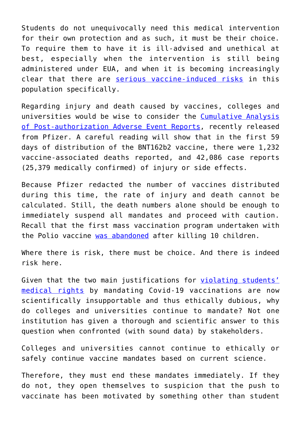Students do not unequivocally need this medical intervention for their own protection and as such, it must be their choice. To require them to have it is ill-advised and unethical at best, especially when the intervention is still being administered under EUA, and when it is becoming increasingly clear that there are [serious vaccine-induced risks](https://nam10.safelinks.protection.outlook.com/?url=https%3A%2F%2Fwww.medrxiv.org%2Fcontent%2F10.1101%2F2021.12.21.21268209v1&data=04%7C01%7Cdenise.magner%40chronicle.com%7C8acc5a89fdc0484fb53108da055eb2ba%7Cd6ac7fd16f2446a49996bfcc1b587137%7C0%7C0%7C637828201547673344%7CUnknown%7CTWFpbGZsb3d8eyJWIjoiMC4wLjAwMDAiLCJQIjoiV2luMzIiLCJBTiI6Ik1haWwiLCJXVCI6Mn0%3D%7C3000&sdata=YRqZLUowXHQpxqUmbKA%2FVKp3USm%2FDxpeMrmx%2FDuicxE%3D&reserved=0) in this population specifically.

Regarding injury and death caused by vaccines, colleges and universities would be wise to consider the [Cumulative Analysis](https://nam10.safelinks.protection.outlook.com/?url=https%3A%2F%2Fphmpt.org%2Fwp-content%2Fuploads%2F2021%2F11%2F5.3.6-postmarketing-experience.pdf&data=04%7C01%7Cdenise.magner%40chronicle.com%7C8acc5a89fdc0484fb53108da055eb2ba%7Cd6ac7fd16f2446a49996bfcc1b587137%7C0%7C0%7C637828201547673344%7CUnknown%7CTWFpbGZsb3d8eyJWIjoiMC4wLjAwMDAiLCJQIjoiV2luMzIiLCJBTiI6Ik1haWwiLCJXVCI6Mn0%3D%7C3000&sdata=kexTiCnz8k9KpyvmhB0MiAyc99FWITt7IgvJJtp0yl8%3D&reserved=0) [of Post-authorization Adverse Event Reports](https://nam10.safelinks.protection.outlook.com/?url=https%3A%2F%2Fphmpt.org%2Fwp-content%2Fuploads%2F2021%2F11%2F5.3.6-postmarketing-experience.pdf&data=04%7C01%7Cdenise.magner%40chronicle.com%7C8acc5a89fdc0484fb53108da055eb2ba%7Cd6ac7fd16f2446a49996bfcc1b587137%7C0%7C0%7C637828201547673344%7CUnknown%7CTWFpbGZsb3d8eyJWIjoiMC4wLjAwMDAiLCJQIjoiV2luMzIiLCJBTiI6Ik1haWwiLCJXVCI6Mn0%3D%7C3000&sdata=kexTiCnz8k9KpyvmhB0MiAyc99FWITt7IgvJJtp0yl8%3D&reserved=0), recently released from Pfizer. A careful reading will show that in the first 59 days of distribution of the BNT162b2 vaccine, there were 1,232 vaccine-associated deaths reported, and 42,086 case reports (25,379 medically confirmed) of injury or side effects.

Because Pfizer redacted the number of vaccines distributed during this time, the rate of injury and death cannot be calculated. Still, the death numbers alone should be enough to immediately suspend all mandates and proceed with caution. Recall that the first mass vaccination program undertaken with the Polio vaccine [was abandoned](https://nam10.safelinks.protection.outlook.com/?url=https%3A%2F%2Fwww.ncbi.nlm.nih.gov%2Fpmc%2Farticles%2FPMC1383764%2F&data=04%7C01%7Cdenise.magner%40chronicle.com%7C8acc5a89fdc0484fb53108da055eb2ba%7Cd6ac7fd16f2446a49996bfcc1b587137%7C0%7C0%7C637828201547673344%7CUnknown%7CTWFpbGZsb3d8eyJWIjoiMC4wLjAwMDAiLCJQIjoiV2luMzIiLCJBTiI6Ik1haWwiLCJXVCI6Mn0%3D%7C3000&sdata=NprXE3%2BlHdqMpoEhWVaAwG9a2v2lK4NBZ08d1xPdUMQ%3D&reserved=0) after killing 10 children.

Where there is risk, there must be choice. And there is indeed risk here.

Given that the two main justifications for [violating students'](https://thevaultproject.org/what-is-the-nuremberg-code/) [medical rights](https://thevaultproject.org/what-is-the-nuremberg-code/) by mandating Covid-19 vaccinations are now scientifically insupportable and thus ethically dubious, why do colleges and universities continue to mandate? Not one institution has given a thorough and scientific answer to this question when confronted (with sound data) by stakeholders.

Colleges and universities cannot continue to ethically or safely continue vaccine mandates based on current science.

Therefore, they must end these mandates immediately. If they do not, they open themselves to suspicion that the push to vaccinate has been motivated by something other than student